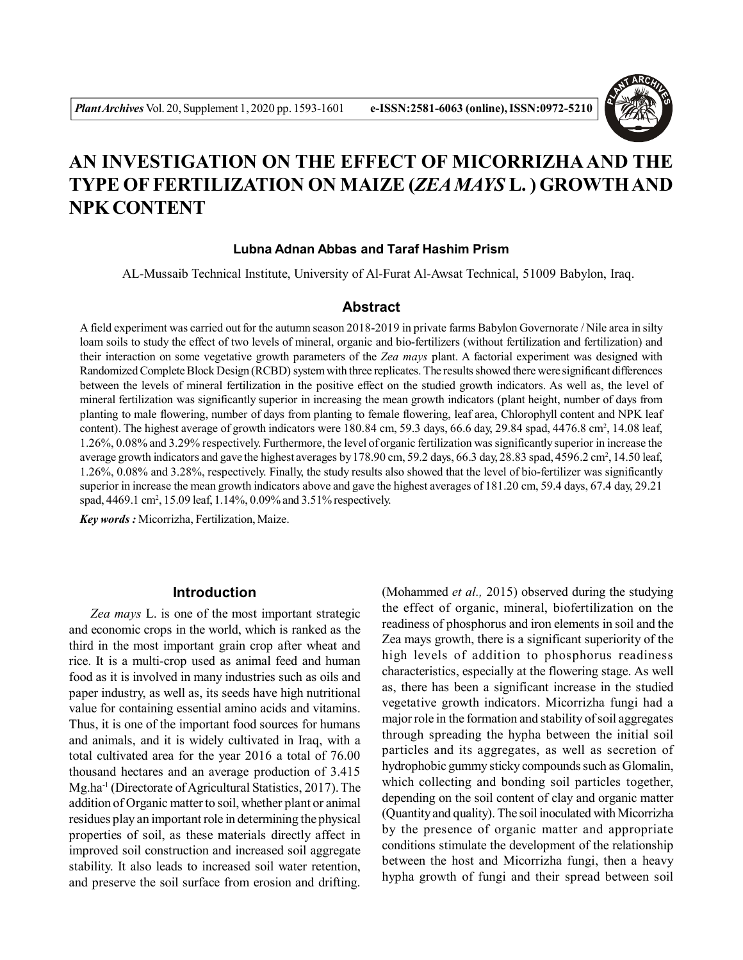

# **AN INVESTIGATION ON THE EFFECT OF MICORRIZHAAND THE TYPE OF FERTILIZATION ON MAIZE (***ZEA MAYS* **L. ) GROWTH AND NPK CONTENT**

## **Lubna Adnan Abbas and Taraf Hashim Prism**

AL-Mussaib Technical Institute, University of Al-Furat Al-Awsat Technical, 51009 Babylon, Iraq.

# **Abstract**

A field experiment was carried out for the autumn season 2018-2019 in private farms Babylon Governorate / Nile area in silty loam soils to study the effect of two levels of mineral, organic and bio-fertilizers (without fertilization and fertilization) and their interaction on some vegetative growth parameters of the *Zea mays* plant. A factorial experiment was designed with Randomized Complete Block Design (RCBD) system with three replicates. The results showed there were significant differences between the levels of mineral fertilization in the positive effect on the studied growth indicators. As well as, the level of mineral fertilization was significantly superior in increasing the mean growth indicators (plant height, number of days from planting to male flowering, number of days from planting to female flowering, leaf area, Chlorophyll content and NPK leaf content). The highest average of growth indicators were  $180.84$  cm, 59.3 days, 66.6 day, 29.84 spad, 4476.8 cm<sup>2</sup>, 14.08 leaf, 1.26%, 0.08% and 3.29% respectively. Furthermore, the level of organic fertilization was significantly superior in increase the average growth indicators and gave the highest averages by 178.90 cm, 59.2 days, 66.3 day, 28.83 spad, 4596.2 cm<sup>2</sup>, 14.50 leaf, 1.26%, 0.08% and 3.28%, respectively. Finally, the study results also showed that the level of bio-fertilizer was significantly superior in increase the mean growth indicators above and gave the highest averages of 181.20 cm, 59.4 days, 67.4 day, 29.21 spad, 4469.1 cm<sup>2</sup>, 15.09 leaf, 1.14%, 0.09% and 3.51% respectively.

*Key words :* Micorrizha, Fertilization, Maize.

# **Introduction**

*Zea mays* L. is one of the most important strategic and economic crops in the world, which is ranked as the third in the most important grain crop after wheat and rice. It is a multi-crop used as animal feed and human food as it is involved in many industries such as oils and paper industry, as well as, its seeds have high nutritional value for containing essential amino acids and vitamins. Thus, it is one of the important food sources for humans and animals, and it is widely cultivated in Iraq, with a total cultivated area for the year 2016 a total of 76.00 thousand hectares and an average production of 3.415 Mg.ha-1 (Directorate of Agricultural Statistics, 2017). The addition of Organic matter to soil, whether plant or animal residues play an important role in determining the physical properties of soil, as these materials directly affect in improved soil construction and increased soil aggregate stability. It also leads to increased soil water retention, and preserve the soil surface from erosion and drifting. (Mohammed *et al.,* 2015) observed during the studying the effect of organic, mineral, biofertilization on the readiness of phosphorus and iron elements in soil and the Zea mays growth, there is a significant superiority of the high levels of addition to phosphorus readiness characteristics, especially at the flowering stage. As well as, there has been a significant increase in the studied vegetative growth indicators. Micorrizha fungi had a major role in the formation and stability of soil aggregates through spreading the hypha between the initial soil particles and its aggregates, as well as secretion of hydrophobic gummy sticky compounds such as Glomalin, which collecting and bonding soil particles together, depending on the soil content of clay and organic matter (Quantity and quality). The soil inoculated with Micorrizha by the presence of organic matter and appropriate conditions stimulate the development of the relationship between the host and Micorrizha fungi, then a heavy hypha growth of fungi and their spread between soil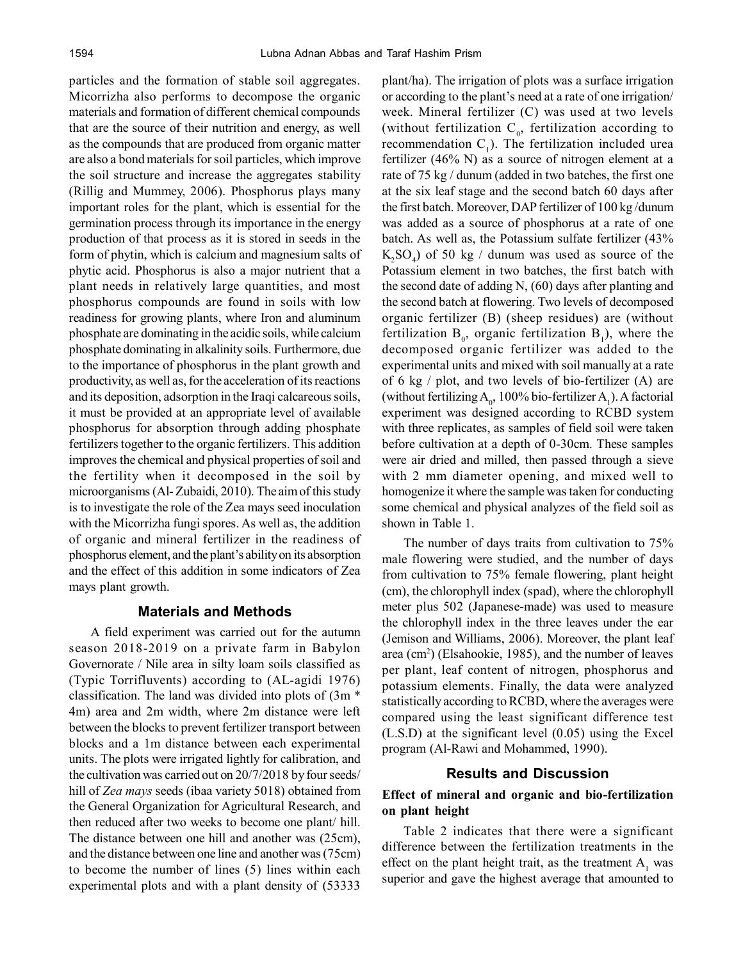particles and the formation of stable soil aggregates. Micorrizha also performs to decompose the organic materials and formation of different chemical compounds that are the source of their nutrition and energy, as well as the compounds that are produced from organic matter are also a bond materials for soil particles, which improve the soil structure and increase the aggregates stability (Rillig and Mummey, 2006). Phosphorus plays many important roles for the plant, which is essential for the germination process through its importance in the energy production of that process as it is stored in seeds in the form of phytin, which is calcium and magnesium salts of phytic acid. Phosphorus is also a major nutrient that a plant needs in relatively large quantities, and most phosphorus compounds are found in soils with low readiness for growing plants, where Iron and aluminum phosphate are dominating in the acidic soils, while calcium phosphate dominating in alkalinity soils. Furthermore, due to the importance of phosphorus in the plant growth and productivity, as well as, for the acceleration of its reactions and its deposition, adsorption in the Iraqi calcareous soils, it must be provided at an appropriate level of available phosphorus for absorption through adding phosphate fertilizers together to the organic fertilizers. This addition improves the chemical and physical properties of soil and the fertility when it decomposed in the soil by microorganisms (Al- Zubaidi, 2010). The aim of this study is to investigate the role of the Zea mays seed inoculation with the Micorrizha fungi spores. As well as, the addition of organic and mineral fertilizer in the readiness of phosphorus element, and the plant's ability on its absorption and the effect of this addition in some indicators of Zea mays plant growth.

#### **Materials and Methods**

A field experiment was carried out for the autumn season 2018-2019 on a private farm in Babylon Governorate / Nile area in silty loam soils classified as (Typic Torrifluvents) according to (AL-agidi 1976) classification. The land was divided into plots of (3m \* 4m) area and 2m width, where 2m distance were left between the blocks to prevent fertilizer transport between blocks and a 1m distance between each experimental units. The plots were irrigated lightly for calibration, and the cultivation was carried out on 20/7/2018 by four seeds/ hill of *Zea mays* seeds (ibaa variety 5018) obtained from the General Organization for Agricultural Research, and then reduced after two weeks to become one plant/ hill. The distance between one hill and another was (25cm), and the distance between one line and another was (75cm) to become the number of lines (5) lines within each experimental plots and with a plant density of (53333 plant/ha). The irrigation of plots was a surface irrigation or according to the plant's need at a rate of one irrigation/ week. Mineral fertilizer (C) was used at two levels (without fertilization  $C_0$ , fertilization according to recommendation  $C_1$ ). The fertilization included urea fertilizer (46% N) as a source of nitrogen element at a rate of 75 kg / dunum (added in two batches, the first one at the six leaf stage and the second batch 60 days after the first batch. Moreover, DAP fertilizer of 100 kg /dunum was added as a source of phosphorus at a rate of one batch. As well as, the Potassium sulfate fertilizer (43%  $K_2SO_4$ ) of 50 kg / dunum was used as source of the Potassium element in two batches, the first batch with the second date of adding N, (60) days after planting and the second batch at flowering. Two levels of decomposed organic fertilizer (B) (sheep residues) are (without fertilization  $B_0$ , organic fertilization  $B_1$ ), where the decomposed organic fertilizer was added to the experimental units and mixed with soil manually at a rate of 6 kg / plot, and two levels of bio-fertilizer (A) are (without fertilizing  $A_0$ , 100% bio-fertilizer  $A_1$ ). A factorial experiment was designed according to RCBD system with three replicates, as samples of field soil were taken before cultivation at a depth of 0-30cm. These samples were air dried and milled, then passed through a sieve with 2 mm diameter opening, and mixed well to homogenize it where the sample was taken for conducting some chemical and physical analyzes of the field soil as shown in Table 1.

The number of days traits from cultivation to 75% male flowering were studied, and the number of days from cultivation to 75% female flowering, plant height (cm), the chlorophyll index (spad), where the chlorophyll meter plus 502 (Japanese-made) was used to measure the chlorophyll index in the three leaves under the ear (Jemison and Williams, 2006). Moreover, the plant leaf area (cm<sup>2</sup> ) (Elsahookie, 1985), and the number of leaves per plant, leaf content of nitrogen, phosphorus and potassium elements. Finally, the data were analyzed statistically according to RCBD, where the averages were compared using the least significant difference test (L.S.D) at the significant level (0.05) using the Excel program (Al-Rawi and Mohammed, 1990).

## **Results and Discussion**

# **Effect of mineral and organic and bio-fertilization on plant height**

Table 2 indicates that there were a significant difference between the fertilization treatments in the effect on the plant height trait, as the treatment  $A_1$  was superior and gave the highest average that amounted to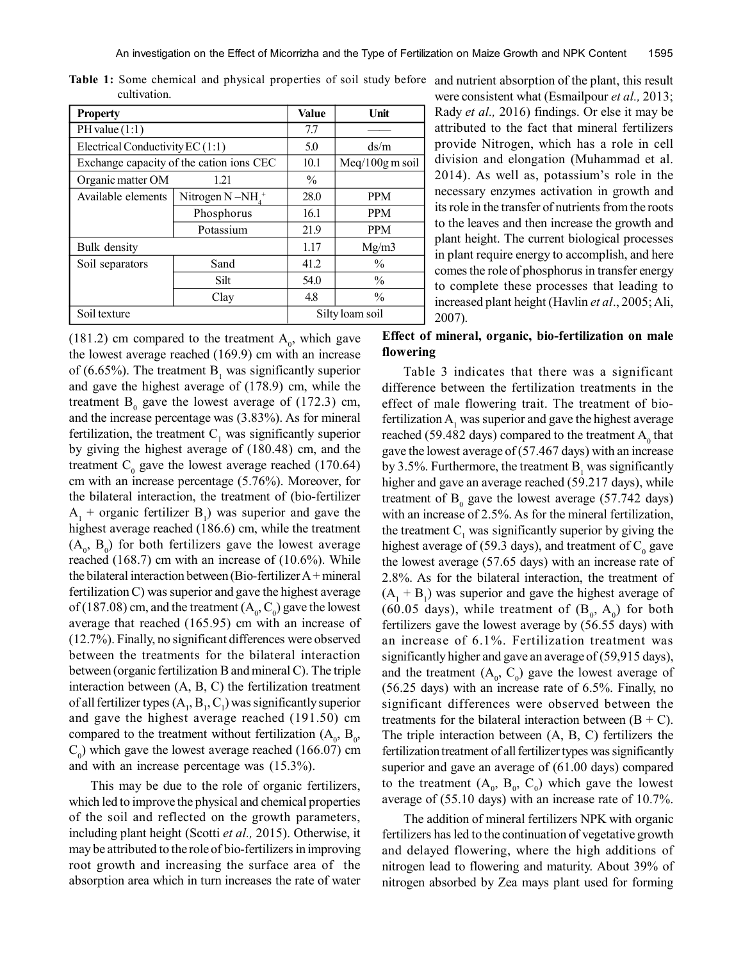| <b>Property</b>                  |                                          | <b>Value</b>  | Unit              |
|----------------------------------|------------------------------------------|---------------|-------------------|
| PH value $(1:1)$                 |                                          |               |                   |
| Electrical Conductivity EC (1:1) |                                          | 5.0           | ds/m              |
|                                  | Exchange capacity of the cation ions CEC | 10.1          | $Meq/100g$ m soil |
| Organic matter OM                | 1.21                                     | $\frac{0}{0}$ |                   |
| Available elements               | Nitrogen $N-NH4$ <sup>+</sup>            | 28.0          | <b>PPM</b>        |
|                                  | Phosphorus                               | 16.1          | <b>PPM</b>        |
|                                  | Potassium                                | 21.9          | <b>PPM</b>        |
| Bulk density                     |                                          | 1.17          | Mg/m3             |
| Soil separators                  | Sand                                     | 41.2          | $\frac{0}{0}$     |
|                                  | Silt                                     | 54.0          | $\frac{0}{0}$     |
|                                  | Clay                                     | 4.8           | $\frac{0}{0}$     |
| Soil texture                     |                                          |               | Silty loam soil   |

**Table 1:** Some chemical and physical properties of soil study before and nutrient absorption of the plant, this result cultivation.

 $(181.2)$  cm compared to the treatment  $A_0$ , which gave the lowest average reached (169.9) cm with an increase of (6.65%). The treatment  $B_1$  was significantly superior and gave the highest average of (178.9) cm, while the treatment  $B_0$  gave the lowest average of (172.3) cm, and the increase percentage was (3.83%). As for mineral fertilization, the treatment  $C_1$  was significantly superior by giving the highest average of (180.48) cm, and the treatment  $C_0$  gave the lowest average reached (170.64) cm with an increase percentage (5.76%). Moreover, for the bilateral interaction, the treatment of (bio-fertilizer  $A_1$  + organic fertilizer  $B_1$ ) was superior and gave the highest average reached (186.6) cm, while the treatment  $(A_0, B_0)$  for both fertilizers gave the lowest average reached (168.7) cm with an increase of (10.6%). While the bilateral interaction between (Bio-fertilizer A + mineral fertilization C) was superior and gave the highest average of (187.08) cm, and the treatment ( $A_0$ ,  $C_0$ ) gave the lowest average that reached (165.95) cm with an increase of (12.7%). Finally, no significant differences were observed between the treatments for the bilateral interaction between (organic fertilization B and mineral C). The triple interaction between (A, B, C) the fertilization treatment of all fertilizer types  $(A_1, B_1, C_1)$  was significantly superior and gave the highest average reached (191.50) cm compared to the treatment without fertilization  $(A_0, B_0, A_0)$  $C<sub>0</sub>$ ) which gave the lowest average reached (166.07) cm and with an increase percentage was (15.3%).

This may be due to the role of organic fertilizers, which led to improve the physical and chemical properties of the soil and reflected on the growth parameters, including plant height (Scotti *et al.,* 2015). Otherwise, it may be attributed to the role of bio-fertilizers in improving root growth and increasing the surface area of the absorption area which in turn increases the rate of water

were consistent what (Esmailpour *et al.,* 2013; Rady *et al.,* 2016) findings. Or else it may be attributed to the fact that mineral fertilizers provide Nitrogen, which has a role in cell division and elongation (Muhammad et al. 2014). As well as, potassium's role in the necessary enzymes activation in growth and its role in the transfer of nutrients from the roots to the leaves and then increase the growth and plant height. The current biological processes in plant require energy to accomplish, and here comes the role of phosphorus in transfer energy to complete these processes that leading to increased plant height (Havlin *et al*., 2005; Ali, 2007).

# **Effect of mineral, organic, bio-fertilization on male flowering**

Table 3 indicates that there was a significant difference between the fertilization treatments in the effect of male flowering trait. The treatment of biofertilization  $A_1$  was superior and gave the highest average reached (59.482 days) compared to the treatment  $A_0$  that gave the lowest average of (57.467 days) with an increase by 3.5%. Furthermore, the treatment  $B_1$  was significantly higher and gave an average reached (59.217 days), while treatment of  $B_0$  gave the lowest average (57.742 days) with an increase of 2.5%. As for the mineral fertilization, the treatment  $C_1$  was significantly superior by giving the highest average of (59.3 days), and treatment of  $C_0$  gave the lowest average (57.65 days) with an increase rate of 2.8%. As for the bilateral interaction, the treatment of  $(A_1 + B_1)$  was superior and gave the highest average of (60.05 days), while treatment of  $(B_0, A_0)$  for both fertilizers gave the lowest average by (56.55 days) with an increase of 6.1%. Fertilization treatment was significantly higher and gave an average of (59,915 days), and the treatment  $(A_0, C_0)$  gave the lowest average of (56.25 days) with an increase rate of 6.5%. Finally, no significant differences were observed between the treatments for the bilateral interaction between  $(B + C)$ . The triple interaction between (A, B, C) fertilizers the fertilization treatment of all fertilizer types was significantly superior and gave an average of (61.00 days) compared to the treatment  $(A_0, B_0, C_0)$  which gave the lowest average of (55.10 days) with an increase rate of 10.7%.

The addition of mineral fertilizers NPK with organic fertilizers has led to the continuation of vegetative growth and delayed flowering, where the high additions of nitrogen lead to flowering and maturity. About 39% of nitrogen absorbed by Zea mays plant used for forming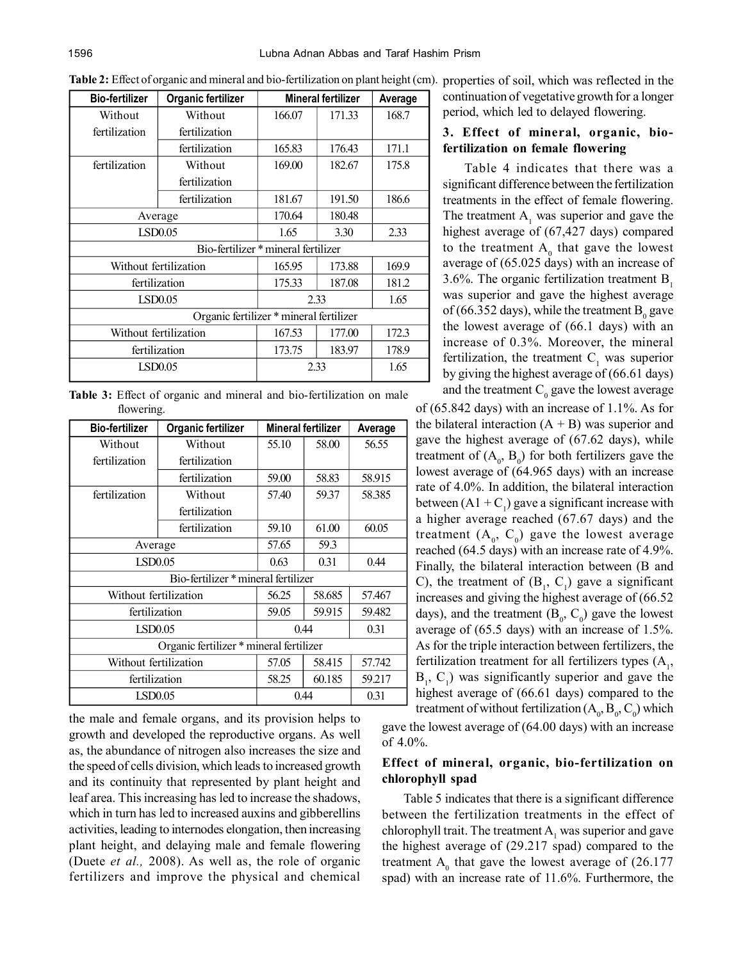| <b>Bio-fertilizer</b>               | Organic fertilizer                      |        | Mineral fertilizer | Average |
|-------------------------------------|-----------------------------------------|--------|--------------------|---------|
| Without                             | Without                                 | 166.07 | 171.33             | 168.7   |
| fertilization                       | fertilization                           |        |                    |         |
|                                     | fertilization                           | 165.83 | 176.43             | 171.1   |
| fertilization                       | Without                                 | 169.00 | 182.67             | 175.8   |
|                                     | fertilization                           |        |                    |         |
|                                     | fertilization                           | 181.67 | 191.50             | 186.6   |
| Average                             |                                         | 170.64 | 180.48             |         |
| LSD0.05                             |                                         | 1.65   | 3.30               | 2.33    |
| Bio-fertilizer * mineral fertilizer |                                         |        |                    |         |
|                                     | Without fertilization                   | 165.95 | 173.88             | 169.9   |
|                                     | fertilization                           | 175.33 | 187.08             | 181.2   |
|                                     | LSD0.05                                 | 2.33   |                    | 1.65    |
|                                     | Organic fertilizer * mineral fertilizer |        |                    |         |
|                                     | Without fertilization                   | 167.53 | 177.00             | 172.3   |
|                                     | fertilization                           | 173.75 | 183.97             | 178.9   |
|                                     | LSD0.05                                 |        | 2.33               | 1.65    |
|                                     |                                         |        |                    |         |

**Table 2:** Effect of organic and mineral and bio-fertilization on plant height (cm). properties of soil, which was reflected in the

**Table 3:** Effect of organic and mineral and bio-fertilization on male flowering.

| <b>Bio-fertilizer</b>                   | Organic fertilizer                  | Mineral fertilizer |        | Average |
|-----------------------------------------|-------------------------------------|--------------------|--------|---------|
| Without                                 | Without                             | 55.10              | 58.00  | 56.55   |
| fertilization                           | fertilization                       |                    |        |         |
|                                         | fertilization                       | 59.00              | 58.83  | 58.915  |
| fertilization                           | Without                             | 57.40              | 59.37  | 58.385  |
|                                         | fertilization                       |                    |        |         |
|                                         | fertilization                       | 59.10              | 61.00  | 60.05   |
| Average                                 |                                     | 57.65              | 59.3   |         |
|                                         | LSD0.05                             |                    | 0.31   | 0.44    |
|                                         | Bio-fertilizer * mineral fertilizer |                    |        |         |
| Without fertilization                   |                                     | 56.25              | 58.685 | 57.467  |
| fertilization                           |                                     | 59.05              | 59.915 | 59.482  |
| LSD0.05                                 |                                     | 0.44               |        | 0.31    |
| Organic fertilizer * mineral fertilizer |                                     |                    |        |         |
| Without fertilization                   |                                     | 57.05              | 58.415 | 57.742  |
| fertilization                           |                                     | 58.25              | 60.185 | 59.217  |
| LSD0.05                                 |                                     |                    | 0.44   | 0.31    |

the male and female organs, and its provision helps to growth and developed the reproductive organs. As well as, the abundance of nitrogen also increases the size and the speed of cells division, which leads to increased growth and its continuity that represented by plant height and leaf area. This increasing has led to increase the shadows, which in turn has led to increased auxins and gibberellins activities, leading to internodes elongation, then increasing plant height, and delaying male and female flowering (Duete *et al.,* 2008). As well as, the role of organic fertilizers and improve the physical and chemical

continuation of vegetative growth for a longer period, which led to delayed flowering.

# **3. Effect of mineral, organic, biofertilization on female flowering**

Table 4 indicates that there was a significant difference between the fertilization treatments in the effect of female flowering. The treatment  $A_1$  was superior and gave the highest average of (67,427 days) compared to the treatment  $A_0$  that gave the lowest average of (65.025 days) with an increase of 3.6%. The organic fertilization treatment  $B_1$ was superior and gave the highest average of (66.352 days), while the treatment  $B_0$  gave the lowest average of (66.1 days) with an increase of 0.3%. Moreover, the mineral fertilization, the treatment  $C<sub>1</sub>$  was superior by giving the highest average of (66.61 days) and the treatment  $C_0$  gave the lowest average

of (65.842 days) with an increase of 1.1%. As for the bilateral interaction  $(A + B)$  was superior and gave the highest average of (67.62 days), while treatment of  $(A_0, B_0)$  for both fertilizers gave the lowest average of (64.965 days) with an increase rate of 4.0%. In addition, the bilateral interaction between  $(A1 + C_1)$  gave a significant increase with a higher average reached (67.67 days) and the treatment  $(A_0, C_0)$  gave the lowest average reached (64.5 days) with an increase rate of 4.9%. Finally, the bilateral interaction between (B and C), the treatment of  $(B_1, C_1)$  gave a significant increases and giving the highest average of (66.52 days), and the treatment  $(B_0, C_0)$  gave the lowest average of (65.5 days) with an increase of 1.5%. As for the triple interaction between fertilizers, the fertilization treatment for all fertilizers types  $(A_1, A_2)$  $B_1$ ,  $C_1$ ) was significantly superior and gave the highest average of (66.61 days) compared to the treatment of without fertilization ( $A_0$ ,  $B_0$ ,  $C_0$ ) which

gave the lowest average of (64.00 days) with an increase of  $4.0\%$ .

# **Effect of mineral, organic, bio-fertilization on chlorophyll spad**

Table 5 indicates that there is a significant difference between the fertilization treatments in the effect of chlorophyll trait. The treatment  $A_1$  was superior and gave the highest average of (29.217 spad) compared to the treatment  $A_0$  that gave the lowest average of  $(26.177)$ spad) with an increase rate of 11.6%. Furthermore, the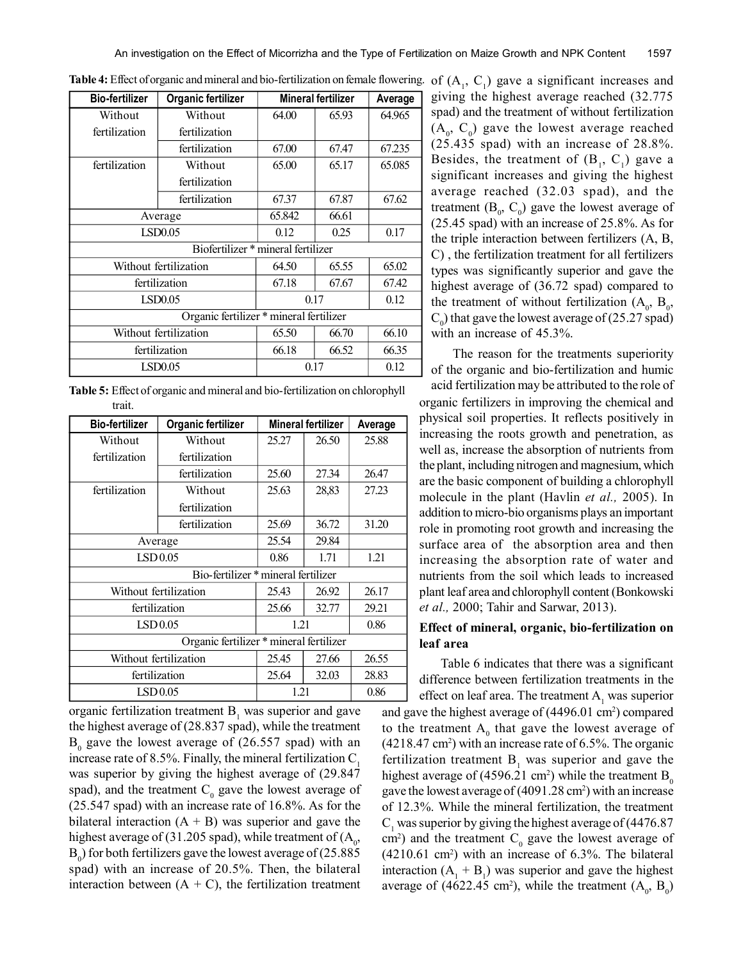| <b>Bio-fertilizer</b>              | Organic fertilizer                      |        | Mineral fertilizer | Average |
|------------------------------------|-----------------------------------------|--------|--------------------|---------|
| Without                            | Without                                 | 64.00  | 65.93              | 64.965  |
| fertilization                      | fertilization                           |        |                    |         |
|                                    | fertilization                           | 67.00  | 67.47              | 67.235  |
| fertilization                      | Without                                 | 65.00  | 65.17              | 65.085  |
|                                    | fertilization                           |        |                    |         |
|                                    | fertilization                           | 67.37  | 67.87              | 67.62   |
| Average                            |                                         | 65.842 | 66.61              |         |
| LSD0.05                            |                                         | 0.12   | 0.25               | 0.17    |
| Biofertilizer * mineral fertilizer |                                         |        |                    |         |
| Without fertilization              |                                         | 64.50  | 65.55              | 65.02   |
|                                    | fertilization                           | 67.18  | 67.67              | 67.42   |
|                                    | LSD0.05                                 | 0.17   |                    | 0.12    |
|                                    | Organic fertilizer * mineral fertilizer |        |                    |         |
|                                    | Without fertilization                   | 65.50  | 66.70              | 66.10   |
|                                    | fertilization                           | 66.18  | 66.52              | 66.35   |
| LSD0.05                            |                                         |        | 0.17               | 0.12    |

**Table 4:** Effect of organic and mineral and bio-fertilization on female flowering. of  $(A_1, C_1)$  gave a significant increases and

**Table 5:** Effect of organic and mineral and bio-fertilization on chlorophyll trait.

| <b>Bio-fertilizer</b>                   | Organic fertilizer                  |       | Mineral fertilizer | Average |
|-----------------------------------------|-------------------------------------|-------|--------------------|---------|
| Without                                 | Without                             | 25.27 | 26.50              | 25.88   |
| fertilization                           | fertilization                       |       |                    |         |
|                                         | fertilization                       | 25.60 | 27.34              | 26.47   |
| fertilization                           | Without                             | 25.63 | 28,83              | 27.23   |
|                                         | fertilization                       |       |                    |         |
|                                         | fertilization                       | 25.69 | 36.72              | 31.20   |
|                                         | Average                             |       | 29.84              |         |
| LSD0.05                                 |                                     | 0.86  | 1.71               | 1.21    |
|                                         | Bio-fertilizer * mineral fertilizer |       |                    |         |
| Without fertilization                   |                                     | 25.43 | 26.92              | 26.17   |
| fertilization                           |                                     | 25.66 | 32.77              | 29.21   |
| LSD0.05                                 |                                     | 1.21  |                    | 0.86    |
| Organic fertilizer * mineral fertilizer |                                     |       |                    |         |
| Without fertilization                   |                                     | 25.45 | 27.66              | 26.55   |
| fertilization                           |                                     | 25.64 | 32.03              | 28.83   |
| LSD0.05                                 |                                     | 1.21  |                    | 0.86    |

organic fertilization treatment  $B<sub>1</sub>$  was superior and gave the highest average of (28.837 spad), while the treatment  $B_0$  gave the lowest average of (26.557 spad) with an increase rate of 8.5%. Finally, the mineral fertilization  $C_1$ was superior by giving the highest average of (29.847 spad), and the treatment  $C_0$  gave the lowest average of (25.547 spad) with an increase rate of 16.8%. As for the bilateral interaction  $(A + B)$  was superior and gave the highest average of (31.205 spad), while treatment of ( $A_0$ ,  $B_0$ ) for both fertilizers gave the lowest average of (25.885) spad) with an increase of 20.5%. Then, the bilateral interaction between  $(A + C)$ , the fertilization treatment giving the highest average reached (32.775 spad) and the treatment of without fertilization  $(A_0, C_0)$  gave the lowest average reached (25.435 spad) with an increase of 28.8%. Besides, the treatment of  $(B_1, C_1)$  gave a significant increases and giving the highest average reached (32.03 spad), and the treatment  $(B_0, C_0)$  gave the lowest average of (25.45 spad) with an increase of 25.8%. As for the triple interaction between fertilizers (A, B, C) , the fertilization treatment for all fertilizers types was significantly superior and gave the highest average of (36.72 spad) compared to the treatment of without fertilization  $(A_0, B_0, A_0)$  $C_0$ ) that gave the lowest average of (25.27 spad) with an increase of 45.3%.

The reason for the treatments superiority of the organic and bio-fertilization and humic

acid fertilization may be attributed to the role of organic fertilizers in improving the chemical and physical soil properties. It reflects positively in increasing the roots growth and penetration, as well as, increase the absorption of nutrients from the plant, including nitrogen and magnesium, which are the basic component of building a chlorophyll molecule in the plant (Havlin *et al.,* 2005). In addition to micro-bio organisms plays an important role in promoting root growth and increasing the surface area of the absorption area and then increasing the absorption rate of water and nutrients from the soil which leads to increased plant leaf area and chlorophyll content (Bonkowski *et al.,* 2000; Tahir and Sarwar, 2013).

# **Effect of mineral, organic, bio-fertilization on leaf area**

Table 6 indicates that there was a significant difference between fertilization treatments in the effect on leaf area. The treatment  $A_1$  was superior

and gave the highest average of  $(4496.01 \text{ cm}^2)$  compared to the treatment  $A_0$  that gave the lowest average of  $(4218.47 \text{ cm}^2)$  with an increase rate of 6.5%. The organic fertilization treatment  $B_1$  was superior and gave the highest average of (4596.21 cm<sup>2</sup>) while the treatment  $B_0$ gave the lowest average of (4091.28 cm<sup>2</sup>) with an increase of 12.3%. While the mineral fertilization, the treatment  $C_1$  was superior by giving the highest average of (4476.87) cm<sup>2</sup>) and the treatment  $C_0$  gave the lowest average of  $(4210.61 \text{ cm}^2)$  with an increase of 6.3%. The bilateral interaction  $(A_1 + B_1)$  was superior and gave the highest average of (4622.45 cm<sup>2</sup>), while the treatment  $(A_0, B_0)$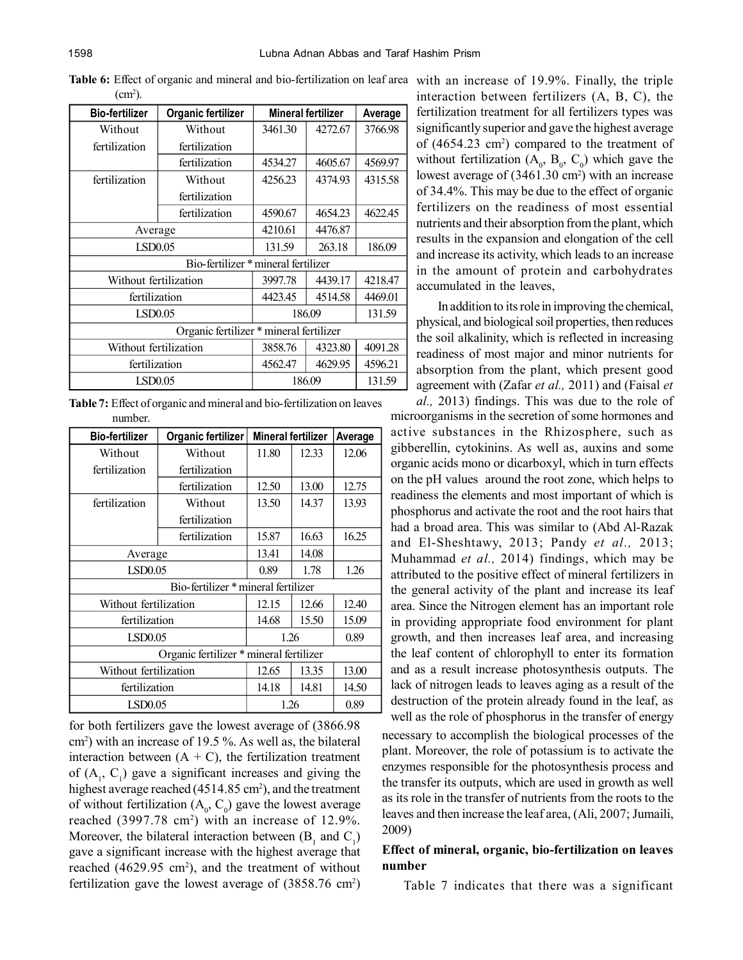| <b>Bio-fertilizer</b>                   | Organic fertilizer | Mineral fertilizer |         | Average |
|-----------------------------------------|--------------------|--------------------|---------|---------|
| Without                                 | Without            | 3461.30            | 4272.67 | 3766.98 |
| fertilization                           | fertilization      |                    |         |         |
|                                         | fertilization      | 4534.27            | 4605.67 | 4569.97 |
| fertilization                           | Without            | 4256.23            | 4374.93 | 4315.58 |
|                                         | fertilization      |                    |         |         |
|                                         | fertilization      | 4590.67            | 4654.23 | 4622.45 |
| Average                                 |                    | 4210.61            | 4476.87 |         |
|                                         | LSD0.05            |                    | 263.18  | 186.09  |
| Bio-fertilizer * mineral fertilizer     |                    |                    |         |         |
| Without fertilization                   |                    | 3997.78            | 4439.17 | 4218.47 |
| fertilization                           |                    | 4423.45            | 4514.58 | 4469.01 |
| <b>LSD0.05</b>                          |                    | 186.09             |         | 131.59  |
| Organic fertilizer * mineral fertilizer |                    |                    |         |         |
| Without fertilization                   |                    | 3858.76            | 4323.80 | 4091.28 |
| fertilization                           |                    | 4562.47            | 4629.95 | 4596.21 |
| LSD0.05                                 |                    |                    | 186.09  | 131.59  |

**Table 6:** Effect of organic and mineral and bio-fertilization on leaf area with an increase of 19.9%. Finally, the triple  $(cm<sup>2</sup>).$ 

**Table 7:** Effect of organic and mineral and bio-fertilization on leaves number.

| <b>Bio-fertilizer</b>                   | Organic fertilizer | <b>Mineral fertilizer</b> | Average |       |
|-----------------------------------------|--------------------|---------------------------|---------|-------|
| Without                                 | Without            | 11.80                     | 12.33   | 12.06 |
| fertilization                           | fertilization      |                           |         |       |
|                                         | fertilization      | 12.50                     | 13.00   | 12.75 |
| fertilization                           | Without            | 13.50                     | 14.37   | 13.93 |
|                                         | fertilization      |                           |         |       |
|                                         | fertilization      | 15.87                     | 16.63   | 16.25 |
| Average                                 |                    | 13.41                     | 14.08   |       |
| LSD <sub>0.05</sub>                     |                    | 0.89                      | 1.78    | 1.26  |
| Bio-fertilizer * mineral fertilizer     |                    |                           |         |       |
| Without fertilization                   |                    | 12.15                     | 12.66   | 12.40 |
| fertilization                           |                    | 14.68                     | 15.50   | 15.09 |
| LSD0.05                                 |                    | 1.26                      |         | 0.89  |
| Organic fertilizer * mineral fertilizer |                    |                           |         |       |
| Without fertilization                   |                    | 12.65                     | 13.35   | 13.00 |
| fertilization                           |                    | 14.18                     | 14.81   | 14.50 |
| LSD0.05                                 |                    | 1.26                      |         | 0.89  |

for both fertilizers gave the lowest average of (3866.98 cm<sup>2</sup> ) with an increase of 19.5 %. As well as, the bilateral interaction between  $(A + C)$ , the fertilization treatment of  $(A_1, C_1)$  gave a significant increases and giving the highest average reached (4514.85 cm<sup>2</sup>), and the treatment of without fertilization  $(A_0, C_0)$  gave the lowest average reached  $(3997.78 \text{ cm}^2)$  with an increase of 12.9%. Moreover, the bilateral interaction between  $(B_1 \text{ and } C_1)$ gave a significant increase with the highest average that reached  $(4629.95 \text{ cm}^2)$ , and the treatment of without fertilization gave the lowest average of  $(3858.76 \text{ cm}^2)$  interaction between fertilizers (A, B, C), the fertilization treatment for all fertilizers types was significantly superior and gave the highest average of  $(4654.23 \text{ cm}^2)$  compared to the treatment of without fertilization  $(A_0, B_0, C_0)$  which gave the lowest average of  $(3461.30 \text{ cm}^2)$  with an increase of 34.4%. This may be due to the effect of organic fertilizers on the readiness of most essential nutrients and their absorption from the plant, which results in the expansion and elongation of the cell and increase its activity, which leads to an increase in the amount of protein and carbohydrates accumulated in the leaves,

In addition to its role in improving the chemical, physical, and biological soil properties, then reduces the soil alkalinity, which is reflected in increasing readiness of most major and minor nutrients for absorption from the plant, which present good agreement with (Zafar *et al.,* 2011) and (Faisal *et*

*al.,* 2013) findings. This was due to the role of microorganisms in the secretion of some hormones and active substances in the Rhizosphere, such as gibberellin, cytokinins. As well as, auxins and some organic acids mono or dicarboxyl, which in turn effects on the pH values around the root zone, which helps to readiness the elements and most important of which is phosphorus and activate the root and the root hairs that had a broad area. This was similar to (Abd Al-Razak and El-Sheshtawy, 2013; Pandy *et al.,* 2013; Muhammad *et al.,* 2014) findings, which may be attributed to the positive effect of mineral fertilizers in the general activity of the plant and increase its leaf area. Since the Nitrogen element has an important role in providing appropriate food environment for plant growth, and then increases leaf area, and increasing the leaf content of chlorophyll to enter its formation and as a result increase photosynthesis outputs. The lack of nitrogen leads to leaves aging as a result of the destruction of the protein already found in the leaf, as well as the role of phosphorus in the transfer of energy

necessary to accomplish the biological processes of the plant. Moreover, the role of potassium is to activate the enzymes responsible for the photosynthesis process and the transfer its outputs, which are used in growth as well as its role in the transfer of nutrients from the roots to the leaves and then increase the leaf area, (Ali, 2007; Jumaili, 2009)

# **Effect of mineral, organic, bio-fertilization on leaves number**

Table 7 indicates that there was a significant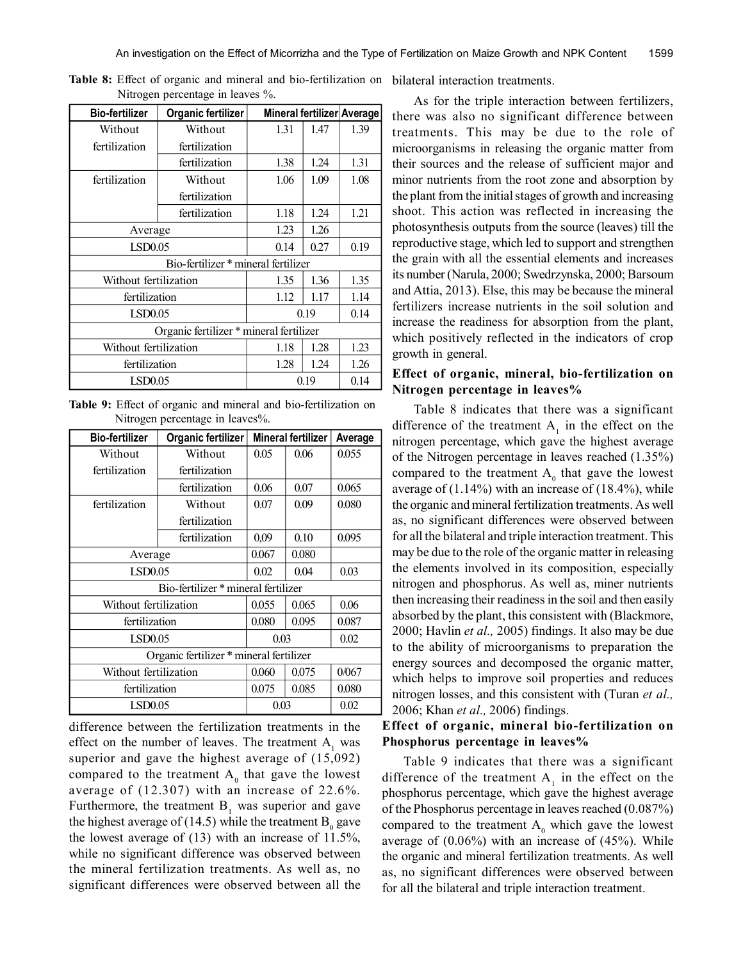| <b>Bio-fertilizer</b>                   | Organic fertilizer                  |      |      | Mineral fertilizer Average |
|-----------------------------------------|-------------------------------------|------|------|----------------------------|
| Without                                 | Without                             | 1.31 | 1.47 | 1.39                       |
| fertilization                           | fertilization                       |      |      |                            |
|                                         | fertilization                       | 1.38 | 1.24 | 1.31                       |
| fertilization                           | Without                             | 1.06 | 1.09 | 1.08                       |
|                                         | fertilization                       |      |      |                            |
|                                         | fertilization                       | 1.18 | 1.24 | 1.21                       |
| Average                                 |                                     | 1.23 | 1.26 |                            |
| LSD <sub>0.05</sub>                     |                                     | 0.14 | 0.27 | 0.19                       |
|                                         | Bio-fertilizer * mineral fertilizer |      |      |                            |
| Without fertilization                   |                                     | 1.35 | 1.36 | 1.35                       |
| fertilization                           |                                     | 1.12 | 1.17 | 1.14                       |
| LSD <sub>0.05</sub>                     |                                     | 0.19 |      | 0.14                       |
| Organic fertilizer * mineral fertilizer |                                     |      |      |                            |
| Without fertilization                   |                                     | 1.18 | 1.28 | 1.23                       |
| fertilization                           |                                     | 1.28 | 1.24 | 1.26                       |
| LSD0.05                                 |                                     |      | 0.19 | 0.14                       |

**Table 8:** Effect of organic and mineral and bio-fertilization on bilateral interaction treatments. Nitrogen percentage in leaves %.

**Table 9:** Effect of organic and mineral and bio-fertilization on Nitrogen percentage in leaves%.

| <b>Bio-fertilizer</b>                   | Organic fertilizer                  |       | Mineral fertilizer | Average |
|-----------------------------------------|-------------------------------------|-------|--------------------|---------|
| Without                                 | Without                             | 0.05  | 0.06               | 0.055   |
| fertilization                           | fertilization                       |       |                    |         |
|                                         | fertilization                       | 0.06  | 0.07               | 0.065   |
| fertilization                           | Without                             | 0.07  | 0.09               | 0.080   |
|                                         | fertilization                       |       |                    |         |
|                                         | fertilization                       | 0,09  | 0.10               | 0.095   |
|                                         | Average                             |       | 0.080              |         |
| LSD0.05                                 |                                     | 0.02  | 0.04               | 0.03    |
|                                         | Bio-fertilizer * mineral fertilizer |       |                    |         |
| Without fertilization                   |                                     | 0.055 | 0.065              | 0.06    |
| fertilization                           |                                     | 0.080 | 0.095              | 0.087   |
| LSD0.05                                 |                                     | 0.03  |                    | 0.02    |
| Organic fertilizer * mineral fertilizer |                                     |       |                    |         |
| Without fertilization                   |                                     | 0.060 | 0.075              | 0/067   |
| fertilization                           |                                     | 0.075 | 0.085              | 0.080   |
| LSD <sub>0.05</sub>                     |                                     | 0.03  |                    | 0.02    |

difference between the fertilization treatments in the effect on the number of leaves. The treatment  $A_1$  was superior and gave the highest average of (15,092) compared to the treatment  $A_0$  that gave the lowest average of (12.307) with an increase of 22.6%. Furthermore, the treatment  $B_1$  was superior and gave the highest average of (14.5) while the treatment  $B_0$  gave the lowest average of (13) with an increase of 11.5%, while no significant difference was observed between the mineral fertilization treatments. As well as, no significant differences were observed between all the

As for the triple interaction between fertilizers, there was also no significant difference between treatments. This may be due to the role of microorganisms in releasing the organic matter from their sources and the release of sufficient major and minor nutrients from the root zone and absorption by the plant from the initial stages of growth and increasing shoot. This action was reflected in increasing the photosynthesis outputs from the source (leaves) till the reproductive stage, which led to support and strengthen the grain with all the essential elements and increases its number (Narula, 2000; Swedrzynska, 2000; Barsoum and Attia, 2013). Else, this may be because the mineral fertilizers increase nutrients in the soil solution and increase the readiness for absorption from the plant, which positively reflected in the indicators of crop growth in general.

# **Effect of organic, mineral, bio-fertilization on Nitrogen percentage in leaves%**

Table 8 indicates that there was a significant difference of the treatment  $A_1$  in the effect on the nitrogen percentage, which gave the highest average of the Nitrogen percentage in leaves reached (1.35%) compared to the treatment  $A_0$  that gave the lowest average of (1.14%) with an increase of (18.4%), while the organic and mineral fertilization treatments. As well as, no significant differences were observed between for all the bilateral and triple interaction treatment. This may be due to the role of the organic matter in releasing the elements involved in its composition, especially nitrogen and phosphorus. As well as, miner nutrients then increasing their readiness in the soil and then easily absorbed by the plant, this consistent with (Blackmore, 2000; Havlin *et al.,* 2005) findings. It also may be due to the ability of microorganisms to preparation the energy sources and decomposed the organic matter, which helps to improve soil properties and reduces nitrogen losses, and this consistent with (Turan *et al.,* 2006; Khan *et al.,* 2006) findings.

# **Effect of organic, mineral bio-fertilization on Phosphorus percentage in leaves%**

Table 9 indicates that there was a significant difference of the treatment  $A_1$  in the effect on the phosphorus percentage, which gave the highest average of the Phosphorus percentage in leaves reached (0.087%) compared to the treatment  $A_0$  which gave the lowest average of  $(0.06\%)$  with an increase of  $(45\%)$ . While the organic and mineral fertilization treatments. As well as, no significant differences were observed between for all the bilateral and triple interaction treatment.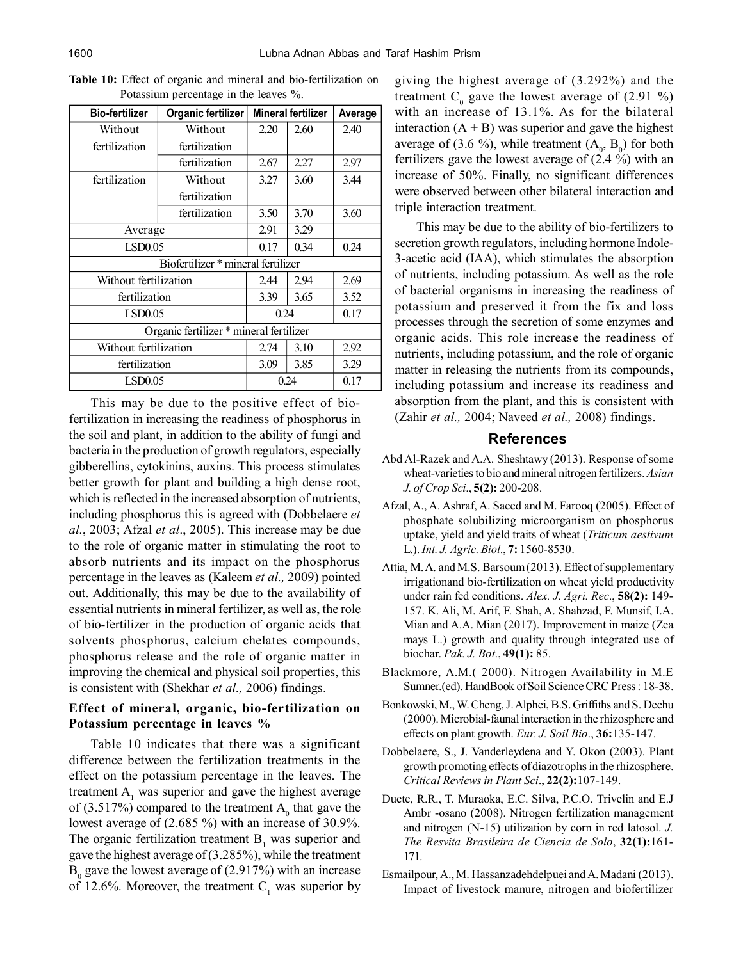| <b>Bio-fertilizer</b>                   | Organic fertilizer                 |      | <b>Mineral fertilizer</b> | Average |
|-----------------------------------------|------------------------------------|------|---------------------------|---------|
| Without                                 | Without                            | 2.20 | 2.60                      | 2.40    |
| fertilization                           | fertilization                      |      |                           |         |
|                                         | fertilization                      | 2.67 | 2.27                      | 2.97    |
| fertilization                           | Without                            | 3.27 | 3.60                      | 3.44    |
|                                         | fertilization                      |      |                           |         |
|                                         | fertilization                      | 3.50 | 3.70                      | 3.60    |
| Average                                 |                                    | 2.91 | 3.29                      |         |
| LSD <sub>0.05</sub>                     |                                    | 0.17 | 0.34                      | 0.24    |
|                                         | Biofertilizer * mineral fertilizer |      |                           |         |
| Without fertilization                   |                                    | 2.44 | 2.94                      | 2.69    |
| fertilization                           |                                    | 3.39 | 3.65                      | 3.52    |
| LSD0.05                                 |                                    | 0.24 |                           | 0.17    |
| Organic fertilizer * mineral fertilizer |                                    |      |                           |         |
| Without fertilization                   |                                    | 2.74 | 3.10                      | 2.92    |
| fertilization                           |                                    | 3.09 | 3.85                      | 3.29    |
| LSD0.05                                 |                                    |      | 0.24                      | 0.17    |

**Table 10:** Effect of organic and mineral and bio-fertilization on Potassium percentage in the leaves %.

This may be due to the positive effect of biofertilization in increasing the readiness of phosphorus in the soil and plant, in addition to the ability of fungi and bacteria in the production of growth regulators, especially gibberellins, cytokinins, auxins. This process stimulates better growth for plant and building a high dense root, which is reflected in the increased absorption of nutrients, including phosphorus this is agreed with (Dobbelaere *et al.*, 2003; Afzal *et al*., 2005). This increase may be due to the role of organic matter in stimulating the root to absorb nutrients and its impact on the phosphorus percentage in the leaves as (Kaleem *et al.,* 2009) pointed out. Additionally, this may be due to the availability of essential nutrients in mineral fertilizer, as well as, the role of bio-fertilizer in the production of organic acids that solvents phosphorus, calcium chelates compounds, phosphorus release and the role of organic matter in improving the chemical and physical soil properties, this is consistent with (Shekhar *et al.,* 2006) findings.

# **Effect of mineral, organic, bio-fertilization on Potassium percentage in leaves %**

Table 10 indicates that there was a significant difference between the fertilization treatments in the effect on the potassium percentage in the leaves. The treatment  $A_1$  was superior and gave the highest average of (3.517%) compared to the treatment  $A_0$  that gave the lowest average of (2.685 %) with an increase of 30.9%. The organic fertilization treatment  $B<sub>1</sub>$  was superior and gave the highest average of (3.285%), while the treatment  $B_0$  gave the lowest average of (2.917%) with an increase of 12.6%. Moreover, the treatment  $C_1$  was superior by giving the highest average of (3.292%) and the treatment  $C_0$  gave the lowest average of (2.91 %) with an increase of 13.1%. As for the bilateral interaction  $(A + B)$  was superior and gave the highest average of (3.6 %), while treatment  $(A_0, B_0)$  for both fertilizers gave the lowest average of (2.4 %) with an increase of 50%. Finally, no significant differences were observed between other bilateral interaction and triple interaction treatment.

This may be due to the ability of bio-fertilizers to secretion growth regulators, including hormone Indole-3-acetic acid (IAA), which stimulates the absorption of nutrients, including potassium. As well as the role of bacterial organisms in increasing the readiness of potassium and preserved it from the fix and loss processes through the secretion of some enzymes and organic acids. This role increase the readiness of nutrients, including potassium, and the role of organic matter in releasing the nutrients from its compounds, including potassium and increase its readiness and absorption from the plant, and this is consistent with (Zahir *et al.,* 2004; Naveed *et al.,* 2008) findings.

# **References**

- Abd Al-Razek and A.A. Sheshtawy (2013). Response of some wheat-varieties to bio and mineral nitrogen fertilizers. *Asian J. of Crop Sci*., **5(2):** 200-208.
- Afzal, A., A. Ashraf, A. Saeed and M. Farooq (2005). Effect of phosphate solubilizing microorganism on phosphorus uptake, yield and yield traits of wheat (*Triticum aestivum* L.). *Int. J. Agric. Biol*., **7:** 1560-8530.
- Attia, M. A. and M.S. Barsoum (2013). Effect of supplementary irrigationand bio-fertilization on wheat yield productivity under rain fed conditions. *Alex. J. Agri. Rec*., **58(2):** 149- 157. K. Ali, M. Arif, F. Shah, A. Shahzad, F. Munsif, I.A. Mian and A.A. Mian (2017). Improvement in maize (Zea mays L.) growth and quality through integrated use of biochar. *Pak. J. Bot*., **49(1):** 85.
- Blackmore, A.M.( 2000). Nitrogen Availability in M.E Sumner.(ed). HandBook of Soil Science CRC Press : 18-38.
- Bonkowski, M., W. Cheng, J. Alphei, B.S. Griffiths and S. Dechu (2000). Microbial-faunal interaction in the rhizosphere and effects on plant growth. *Eur. J. Soil Bio*., **36:**135-147.
- Dobbelaere, S., J. Vanderleydena and Y. Okon (2003). Plant growth promoting effects of diazotrophs in the rhizosphere. *Critical Reviews in Plant Sci*., **22(2):**107-149.
- Duete, R.R., T. Muraoka, E.C. Silva, P.C.O. Trivelin and E.J Ambr -osano (2008). Nitrogen fertilization management and nitrogen (N-15) utilization by corn in red latosol. *J. The Resvita Brasileira de Ciencia de Solo*, **32(1):**161- 171.
- Esmailpour, A., M. Hassanzadehdelpuei and A. Madani (2013). Impact of livestock manure, nitrogen and biofertilizer